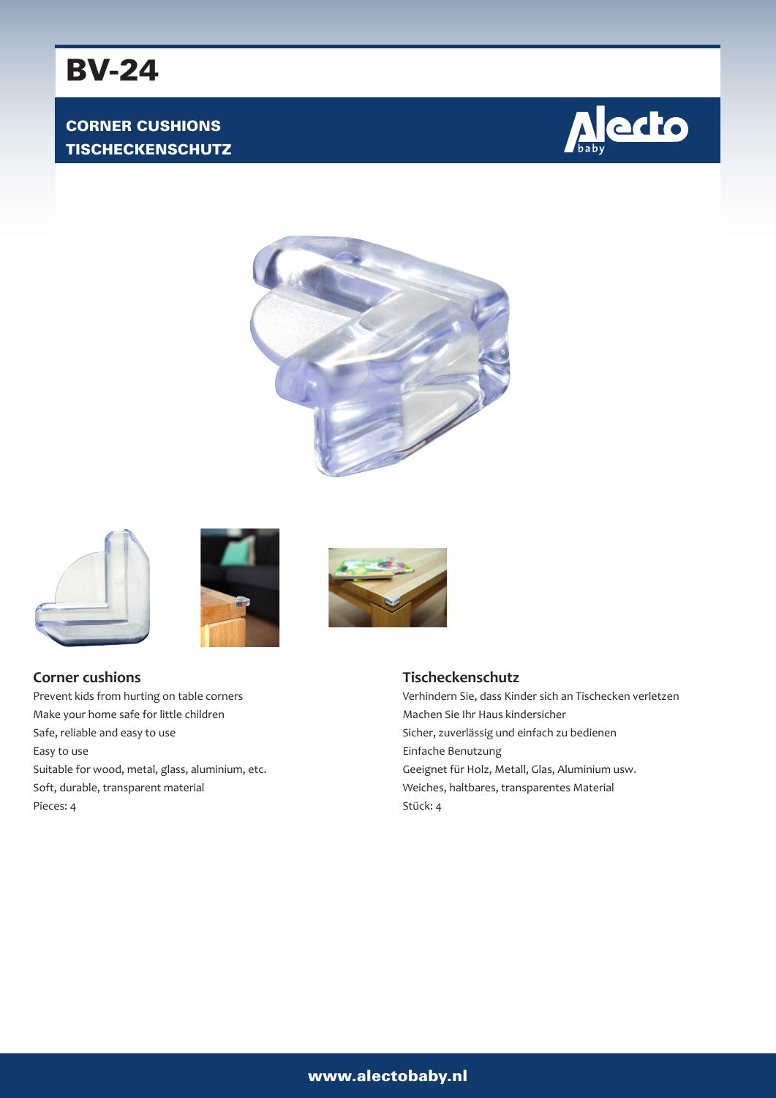## CORNER CUSHIONS TISCHECKENSCHUTZ











## **Corner cushions**

Prevent kids from hurting on table corners Make your home safe for little children Safe, reliable and easy to use Easy to use Suitable for wood, metal, glass, aluminium, etc. Soft, durable, transparent material Pieces: 4

### **Tischeckenschutz**

Verhindern Sie, dass Kinder sich an Tischecken verletzen Machen Sie Ihr Haus kindersicher Sicher, zuverlässig und einfach zu bedienen Einfache Benutzung Geeignet für Holz, Metall, Glas, Aluminium usw. Weiches, haltbares, transparentes Material Stück: 4